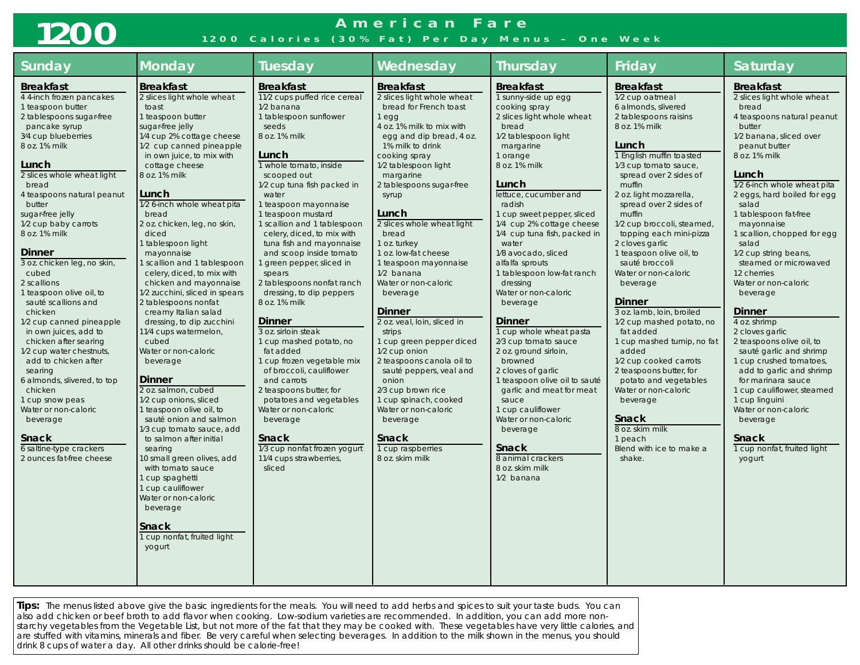# **1200**

### **American Fare 1200 Calories (30% Fat) Per Day Menus – One Week**

| <b>Sunday</b>                                                                                                                                                                                                                                                                                                                                                                                                                                                                                                                                                                                                                                                                                                                                                          | <b>Monday</b>                                                                                                                                                                                                                                                                                                                                                                                                                                                                                                                                                                                                                                                                                                                                                                                                                                                                                                                                                                                                          | <b>Tuesday</b>                                                                                                                                                                                                                                                                                                                                                                                                                                                                                                                                                                                                                                                                                                                                                                                                                   | Wednesday                                                                                                                                                                                                                                                                                                                                                                                                                                                                                                                                                                                                                                                                                                                                                  | <b>Thursday</b>                                                                                                                                                                                                                                                                                                                                                                                                                                                                                                                                                                                                                                                                                                                                                              | Friday                                                                                                                                                                                                                                                                                                                                                                                                                                                                                                                                                                                                                                                                                                                                                                    | Saturday                                                                                                                                                                                                                                                                                                                                                                                                                                                                                                                                                                                                                                                                                                                                                               |
|------------------------------------------------------------------------------------------------------------------------------------------------------------------------------------------------------------------------------------------------------------------------------------------------------------------------------------------------------------------------------------------------------------------------------------------------------------------------------------------------------------------------------------------------------------------------------------------------------------------------------------------------------------------------------------------------------------------------------------------------------------------------|------------------------------------------------------------------------------------------------------------------------------------------------------------------------------------------------------------------------------------------------------------------------------------------------------------------------------------------------------------------------------------------------------------------------------------------------------------------------------------------------------------------------------------------------------------------------------------------------------------------------------------------------------------------------------------------------------------------------------------------------------------------------------------------------------------------------------------------------------------------------------------------------------------------------------------------------------------------------------------------------------------------------|----------------------------------------------------------------------------------------------------------------------------------------------------------------------------------------------------------------------------------------------------------------------------------------------------------------------------------------------------------------------------------------------------------------------------------------------------------------------------------------------------------------------------------------------------------------------------------------------------------------------------------------------------------------------------------------------------------------------------------------------------------------------------------------------------------------------------------|------------------------------------------------------------------------------------------------------------------------------------------------------------------------------------------------------------------------------------------------------------------------------------------------------------------------------------------------------------------------------------------------------------------------------------------------------------------------------------------------------------------------------------------------------------------------------------------------------------------------------------------------------------------------------------------------------------------------------------------------------------|------------------------------------------------------------------------------------------------------------------------------------------------------------------------------------------------------------------------------------------------------------------------------------------------------------------------------------------------------------------------------------------------------------------------------------------------------------------------------------------------------------------------------------------------------------------------------------------------------------------------------------------------------------------------------------------------------------------------------------------------------------------------------|---------------------------------------------------------------------------------------------------------------------------------------------------------------------------------------------------------------------------------------------------------------------------------------------------------------------------------------------------------------------------------------------------------------------------------------------------------------------------------------------------------------------------------------------------------------------------------------------------------------------------------------------------------------------------------------------------------------------------------------------------------------------------|------------------------------------------------------------------------------------------------------------------------------------------------------------------------------------------------------------------------------------------------------------------------------------------------------------------------------------------------------------------------------------------------------------------------------------------------------------------------------------------------------------------------------------------------------------------------------------------------------------------------------------------------------------------------------------------------------------------------------------------------------------------------|
| <b>Breakfast</b><br>4 4-inch frozen pancakes<br>1 teaspoon butter<br>2 tablespoons sugar-free<br>pancake syrup<br>3/4 cup blueberries<br>8 oz. 1% milk<br>Lunch<br>2 slices whole wheat light<br>bread<br>4 teaspoons natural peanut<br>butter<br>sugar-free jelly<br>1/2 cup baby carrots<br>8 oz. 1% milk<br><b>Dinner</b><br>3 oz. chicken leg, no skin,<br>cubed<br>2 scallions<br>1 teaspoon olive oil, to<br>sauté scallions and<br>chicken<br>1/2 cup canned pineapple<br>in own juices, add to<br>chicken after searing<br>1/2 cup water chestnuts,<br>add to chicken after<br>searing<br>6 almonds, slivered, to top<br>chicken<br>1 cup snow peas<br>Water or non-caloric<br>beverage<br><b>Snack</b><br>6 saltine-type crackers<br>2 ounces fat-free cheese | <b>Breakfast</b><br>2 slices light whole wheat<br>toast<br>1 teaspoon butter<br>sugar-free jelly<br>1/4 cup 2% cottage cheese<br>1/2 cup canned pineapple<br>in own juice, to mix with<br>cottage cheese<br>8 oz. 1% milk<br>Lunch<br>1/2 6-inch whole wheat pita<br>bread<br>2 oz. chicken, leg, no skin,<br>diced<br>1 tablespoon light<br>mayonnaise<br>1 scallion and 1 tablespoon<br>celery, diced, to mix with<br>chicken and mayonnaise<br>1/2 zucchini, sliced in spears<br>2 tablespoons nonfat<br>creamy Italian salad<br>dressing, to dip zucchini<br>11/4 cups watermelon,<br>cubed<br>Water or non-caloric<br>beverage<br><b>Dinner</b><br>2 oz. salmon, cubed<br>1/2 cup onions, sliced<br>1 teaspoon olive oil, to<br>sauté onion and salmon<br>1/3 cup tomato sauce, add<br>to salmon after initial<br>searing<br>10 small green olives, add<br>with tomato sauce<br>1 cup spaghetti<br>1 cup cauliflower<br>Water or non-caloric<br>beverage<br><b>Snack</b><br>1 cup nonfat, fruited light<br>yogurt | <b>Breakfast</b><br>11/2 cups puffed rice cereal<br>1/2 banana<br>1 tablespoon sunflower<br>seeds<br>8 oz. 1% milk<br>Lunch<br>1 whole tomato, inside<br>scooped out<br>1/2 cup tuna fish packed in<br>water<br>1 teaspoon mayonnaise<br>1 teaspoon mustard<br>1 scallion and 1 tablespoon<br>celery, diced, to mix with<br>tuna fish and mayonnaise<br>and scoop inside tomato<br>green pepper, sliced in<br>spears<br>2 tablespoons nonfat ranch<br>dressing, to dip peppers<br>8 oz. 1% milk<br>Dinner<br>3 oz. sirloin steak<br>1 cup mashed potato, no<br>fat added<br>1 cup frozen vegetable mix<br>of broccoli, cauliflower<br>and carrots<br>2 teaspoons butter, for<br>potatoes and vegetables<br>Water or non-caloric<br>beverage<br><b>Snack</b><br>1/3 cup nonfat frozen yogurt<br>11/4 cups strawberries,<br>sliced | <b>Breakfast</b><br>2 slices light whole wheat<br>bread for French toast<br>1 <sub>eqq</sub><br>4 oz. 1% milk to mix with<br>egg and dip bread, 4 oz.<br>1% milk to drink<br>cooking spray<br>1/2 tablespoon light<br>margarine<br>2 tablespoons sugar-free<br>syrup<br>Lunch<br>2 slices whole wheat light<br>bread<br>1 oz. turkey<br>1 oz. low-fat cheese<br>1 teaspoon mayonnaise<br>1/2 banana<br>Water or non-caloric<br>beverage<br><b>Dinner</b><br>2 oz. veal, loin, sliced in<br>strips<br>1 cup green pepper diced<br>1/2 cup onion<br>2 teaspoons canola oil to<br>sauté peppers, veal and<br>onion<br>2/3 cup brown rice<br>1 cup spinach, cooked<br>Water or non-caloric<br>beverage<br><b>Snack</b><br>1 cup raspberries<br>8 oz. skim milk | <b>Breakfast</b><br>1 sunny-side up egg<br>cooking spray<br>2 slices light whole wheat<br>bread<br>1/2 tablespoon light<br>margarine<br>1 orange<br>8 oz. 1% milk<br>Lunch<br>lettuce, cucumber and<br>radish<br>1 cup sweet pepper, sliced<br>1/4 cup 2% cottage cheese<br>1/4 cup tuna fish, packed in<br>water<br>1/8 avocado, sliced<br>alfalfa sprouts<br>1 tablespoon low-fat ranch<br>dressing<br>Water or non-caloric<br>beverage<br><b>Dinner</b><br>1 cup whole wheat pasta<br>2/3 cup tomato sauce<br>2 oz. ground sirloin,<br>browned<br>2 cloves of garlic<br>1 teaspoon olive oil to sauté<br>garlic and meat for meat<br>sauce<br>1 cup cauliflower<br>Water or non-caloric<br>beverage<br><b>Snack</b><br>8 animal crackers<br>8 oz. skim milk<br>1/2 banana | <b>Breakfast</b><br>1/2 cup oatmeal<br>6 almonds, slivered<br>2 tablespoons raisins<br>8 oz. 1% milk<br>Lunch<br>1 English muffin toasted<br>1/3 cup tomato sauce,<br>spread over 2 sides of<br>muffin<br>2 oz. light mozzarella,<br>spread over 2 sides of<br>muffin<br>1/2 cup broccoli, steamed,<br>topping each mini-pizza<br>2 cloves garlic<br>1 teaspoon olive oil, to<br>sauté broccoli<br>Water or non-caloric<br>beverage<br><b>Dinner</b><br>3 oz. lamb, loin, broiled<br>1/2 cup mashed potato, no<br>fat added<br>1 cup mashed turnip, no fat<br>added<br>1/2 cup cooked carrots<br>2 teaspoons butter, for<br>potato and vegetables<br>Water or non-caloric<br>beverage<br><b>Snack</b><br>8 oz. skim milk<br>1 peach<br>Blend with ice to make a<br>shake. | <b>Breakfast</b><br>2 slices light whole wheat<br>bread<br>4 teaspoons natural peanut<br>butter<br>1/2 banana, sliced over<br>peanut butter<br>8 oz. 1% milk<br>Lunch<br>1/2 6-inch whole wheat pita<br>2 eggs, hard boiled for egg<br>salad<br>1 tablespoon fat-free<br>mayonnaise<br>1 scallion, chopped for egg<br>salad<br>1/2 cup string beans,<br>steamed or microwaved<br>12 cherries<br>Water or non-caloric<br>beverage<br><b>Dinner</b><br>4 oz. shrimp<br>2 cloves garlic<br>2 teaspoons olive oil, to<br>sauté garlic and shrimp<br>1 cup crushed tomatoes,<br>add to garlic and shrimp<br>for marinara sauce<br>1 cup cauliflower, steamed<br>1 cup linguini<br>Water or non-caloric<br>beverage<br><b>Snack</b><br>1 cup nonfat, fruited light<br>yogurt |

**Tips:** The menus listed above give the basic ingredients for the meals. You will need to add herbs and spices to suit your taste buds. You can also add chicken or beef broth to add flavor when cooking. Low-sodium varieties are recommended. In addition, you can add more nonstarchy vegetables from the Vegetable List, but not more of the fat that they may be cooked with. These vegetables have very little calories, and are stuffed with vitamins, minerals and fiber. Be very careful when selecting beverages. In addition to the milk shown in the menus, you should drink 8 cups of water a day. All other drinks should be calorie-free!